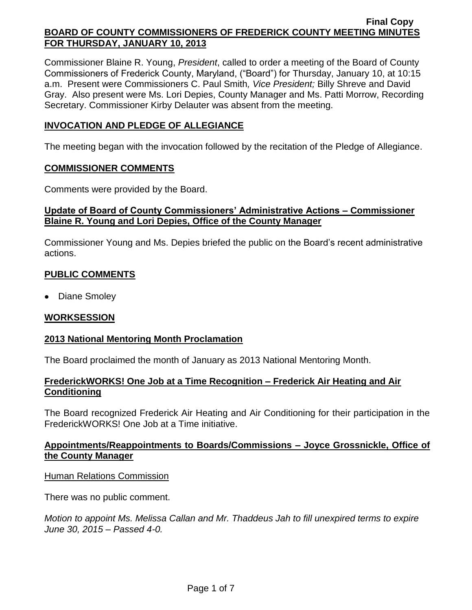Commissioner Blaine R. Young, *President*, called to order a meeting of the Board of County Commissioners of Frederick County, Maryland, ("Board") for Thursday, January 10, at 10:15 a.m. Present were Commissioners C. Paul Smith*, Vice President;* Billy Shreve and David Gray. Also present were Ms. Lori Depies, County Manager and Ms. Patti Morrow, Recording Secretary. Commissioner Kirby Delauter was absent from the meeting.

### **INVOCATION AND PLEDGE OF ALLEGIANCE**

The meeting began with the invocation followed by the recitation of the Pledge of Allegiance.

### **COMMISSIONER COMMENTS**

Comments were provided by the Board.

## **Update of Board of County Commissioners' Administrative Actions – Commissioner Blaine R. Young and Lori Depies, Office of the County Manager**

Commissioner Young and Ms. Depies briefed the public on the Board's recent administrative actions.

# **PUBLIC COMMENTS**

• Diane Smoley

# **WORKSESSION**

# **2013 National Mentoring Month Proclamation**

The Board proclaimed the month of January as 2013 National Mentoring Month.

### **FrederickWORKS! One Job at a Time Recognition – Frederick Air Heating and Air Conditioning**

The Board recognized Frederick Air Heating and Air Conditioning for their participation in the FrederickWORKS! One Job at a Time initiative.

### **Appointments/Reappointments to Boards/Commissions – Joyce Grossnickle, Office of the County Manager**

### Human Relations Commission

There was no public comment.

*Motion to appoint Ms. Melissa Callan and Mr. Thaddeus Jah to fill unexpired terms to expire June 30, 2015 – Passed 4-0.*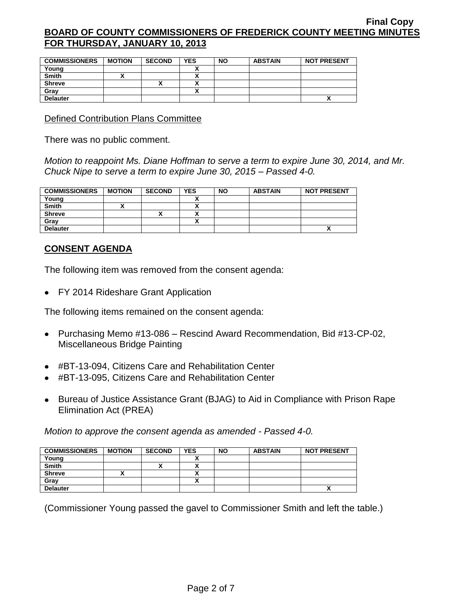| <b>COMMISSIONERS</b> | <b>MOTION</b> | <b>SECOND</b> | <b>YES</b> | <b>NO</b> | <b>ABSTAIN</b> | <b>NOT PRESENT</b> |
|----------------------|---------------|---------------|------------|-----------|----------------|--------------------|
| Young                |               |               |            |           |                |                    |
| <b>Smith</b>         |               |               |            |           |                |                    |
| <b>Shreve</b>        |               |               |            |           |                |                    |
| Gray                 |               |               |            |           |                |                    |
| <b>Delauter</b>      |               |               |            |           |                |                    |

Defined Contribution Plans Committee

There was no public comment.

*Motion to reappoint Ms. Diane Hoffman to serve a term to expire June 30, 2014, and Mr. Chuck Nipe to serve a term to expire June 30, 2015 – Passed 4-0.*

| <b>COMMISSIONERS</b> | <b>MOTION</b> | <b>SECOND</b> | <b>YES</b> | <b>NO</b> | <b>ABSTAIN</b> | <b>NOT PRESENT</b> |
|----------------------|---------------|---------------|------------|-----------|----------------|--------------------|
| Young                |               |               |            |           |                |                    |
| <b>Smith</b>         |               |               | Λ          |           |                |                    |
| <b>Shreve</b>        |               | "             | ^          |           |                |                    |
| Gray                 |               |               | Λ          |           |                |                    |
| <b>Delauter</b>      |               |               |            |           |                | Λ                  |

### **CONSENT AGENDA**

The following item was removed from the consent agenda:

• FY 2014 Rideshare Grant Application

The following items remained on the consent agenda:

- Purchasing Memo #13-086 Rescind Award Recommendation, Bid #13-CP-02, Miscellaneous Bridge Painting
- #BT-13-094, Citizens Care and Rehabilitation Center
- #BT-13-095, Citizens Care and Rehabilitation Center
- Bureau of Justice Assistance Grant (BJAG) to Aid in Compliance with Prison Rape Elimination Act (PREA)

*Motion to approve the consent agenda as amended - Passed 4-0.*

| <b>COMMISSIONERS</b> | <b>MOTION</b> | <b>SECOND</b> | <b>YES</b> | <b>NO</b> | <b>ABSTAIN</b> | <b>NOT PRESENT</b>         |
|----------------------|---------------|---------------|------------|-----------|----------------|----------------------------|
| Young                |               |               |            |           |                |                            |
| <b>Smith</b>         |               | ^             |            |           |                |                            |
| <b>Shreve</b>        |               |               |            |           |                |                            |
| Gray                 |               |               |            |           |                |                            |
| <b>Delauter</b>      |               |               |            |           |                | $\boldsymbol{\mathcal{L}}$ |

(Commissioner Young passed the gavel to Commissioner Smith and left the table.)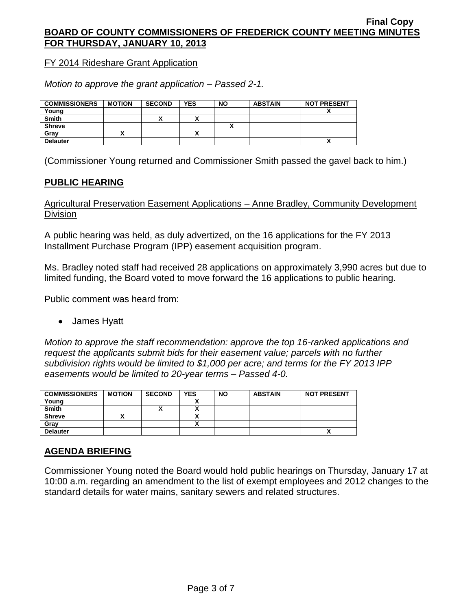FY 2014 Rideshare Grant Application

*Motion to approve the grant application – Passed 2-1.*

| <b>COMMISSIONERS</b> | <b>MOTION</b> | <b>SECOND</b> | <b>YES</b> | <b>NO</b> | <b>ABSTAIN</b> | <b>NOT PRESENT</b> |
|----------------------|---------------|---------------|------------|-----------|----------------|--------------------|
| Young                |               |               |            |           |                |                    |
| <b>Smith</b>         |               | ́             |            |           |                |                    |
| <b>Shreve</b>        |               |               |            |           |                |                    |
| Gray                 |               |               |            |           |                |                    |
| <b>Delauter</b>      |               |               |            |           |                | ^                  |

(Commissioner Young returned and Commissioner Smith passed the gavel back to him.)

## **PUBLIC HEARING**

Agricultural Preservation Easement Applications – Anne Bradley, Community Development Division

A public hearing was held, as duly advertized, on the 16 applications for the FY 2013 Installment Purchase Program (IPP) easement acquisition program.

Ms. Bradley noted staff had received 28 applications on approximately 3,990 acres but due to limited funding, the Board voted to move forward the 16 applications to public hearing.

Public comment was heard from:

James Hyatt

*Motion to approve the staff recommendation: approve the top 16-ranked applications and request the applicants submit bids for their easement value; parcels with no further subdivision rights would be limited to \$1,000 per acre; and terms for the FY 2013 IPP easements would be limited to 20-year terms – Passed 4-0.*

| <b>COMMISSIONERS</b> | <b>MOTION</b> | <b>SECOND</b> | <b>YES</b> | <b>NO</b> | <b>ABSTAIN</b> | <b>NOT PRESENT</b> |
|----------------------|---------------|---------------|------------|-----------|----------------|--------------------|
| Young                |               |               |            |           |                |                    |
| <b>Smith</b>         |               | ↗             |            |           |                |                    |
| <b>Shreve</b>        |               |               |            |           |                |                    |
| Grav                 |               |               |            |           |                |                    |
| <b>Delauter</b>      |               |               |            |           |                | $\mathbf{v}$       |

# **AGENDA BRIEFING**

Commissioner Young noted the Board would hold public hearings on Thursday, January 17 at 10:00 a.m. regarding an amendment to the list of exempt employees and 2012 changes to the standard details for water mains, sanitary sewers and related structures.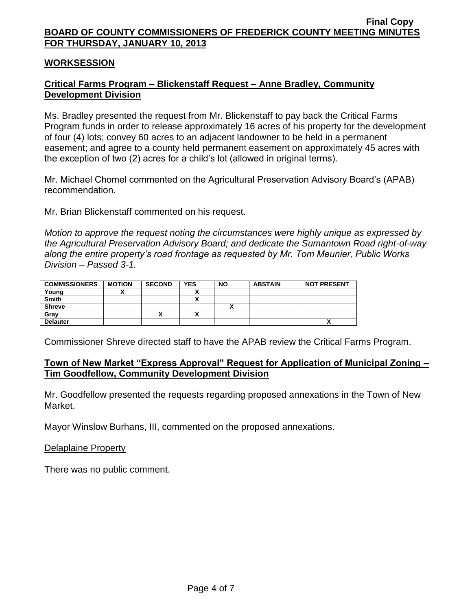#### **WORKSESSION**

## **Critical Farms Program – Blickenstaff Request – Anne Bradley, Community Development Division**

Ms. Bradley presented the request from Mr. Blickenstaff to pay back the Critical Farms Program funds in order to release approximately 16 acres of his property for the development of four (4) lots; convey 60 acres to an adjacent landowner to be held in a permanent easement; and agree to a county held permanent easement on approximately 45 acres with the exception of two (2) acres for a child's lot (allowed in original terms).

Mr. Michael Chomel commented on the Agricultural Preservation Advisory Board's (APAB) recommendation.

Mr. Brian Blickenstaff commented on his request.

*Motion to approve the request noting the circumstances were highly unique as expressed by the Agricultural Preservation Advisory Board; and dedicate the Sumantown Road right-of-way along the entire property's road frontage as requested by Mr. Tom Meunier, Public Works Division – Passed 3-1.*

| <b>COMMISSIONERS</b> | <b>MOTION</b> | <b>SECOND</b> | <b>YES</b>               | <b>NO</b> | <b>ABSTAIN</b> | <b>NOT PRESENT</b> |
|----------------------|---------------|---------------|--------------------------|-----------|----------------|--------------------|
| Young                |               |               |                          |           |                |                    |
| <b>Smith</b>         |               |               | v                        |           |                |                    |
| <b>Shreve</b>        |               |               |                          |           |                |                    |
| Gray                 |               | $\mathbf{v}$  | $\overline{\phantom{a}}$ |           |                |                    |
| <b>Delauter</b>      |               |               |                          |           |                |                    |

Commissioner Shreve directed staff to have the APAB review the Critical Farms Program.

### **Town of New Market "Express Approval" Request for Application of Municipal Zoning – Tim Goodfellow, Community Development Division**

Mr. Goodfellow presented the requests regarding proposed annexations in the Town of New Market.

Mayor Winslow Burhans, III, commented on the proposed annexations.

#### Delaplaine Property

There was no public comment.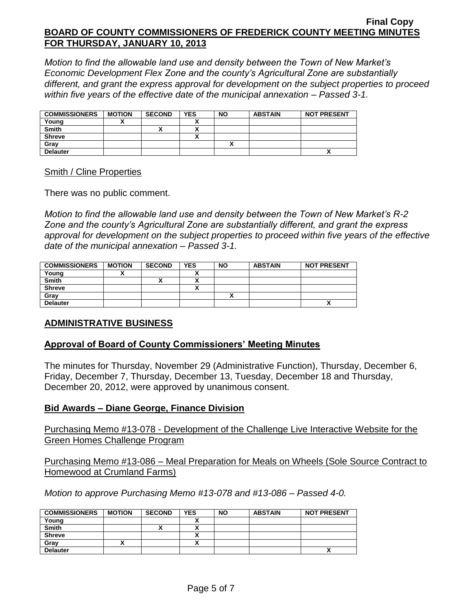*Motion to find the allowable land use and density between the Town of New Market's Economic Development Flex Zone and the county's Agricultural Zone are substantially different, and grant the express approval for development on the subject properties to proceed within five years of the effective date of the municipal annexation – Passed 3-1.*

| <b>COMMISSIONERS</b> | <b>MOTION</b> | <b>SECOND</b> | <b>YES</b> | <b>NO</b> | <b>ABSTAIN</b> | <b>NOT PRESENT</b> |
|----------------------|---------------|---------------|------------|-----------|----------------|--------------------|
| Young                |               |               |            |           |                |                    |
| <b>Smith</b>         |               |               |            |           |                |                    |
| <b>Shreve</b>        |               |               |            |           |                |                    |
| Grav                 |               |               |            |           |                |                    |
| <b>Delauter</b>      |               |               |            |           |                | Δ                  |

#### Smith / Cline Properties

There was no public comment.

*Motion to find the allowable land use and density between the Town of New Market's R-2 Zone and the county's Agricultural Zone are substantially different, and grant the express*  approval for development on the subject properties to proceed within five years of the effective *date of the municipal annexation – Passed 3-1.*

| <b>COMMISSIONERS</b> | <b>MOTION</b> | <b>SECOND</b> | <b>YES</b>               | <b>NO</b>    | <b>ABSTAIN</b> | <b>NOT PRESENT</b> |
|----------------------|---------------|---------------|--------------------------|--------------|----------------|--------------------|
| Young                |               |               | ,,                       |              |                |                    |
| <b>Smith</b>         |               |               | ,,                       |              |                |                    |
| <b>Shreve</b>        |               |               | $\overline{\phantom{a}}$ |              |                |                    |
| Gray                 |               |               |                          | $\mathbf{r}$ |                |                    |
| <b>Delauter</b>      |               |               |                          |              |                | Λ                  |

# **ADMINISTRATIVE BUSINESS**

### **Approval of Board of County Commissioners' Meeting Minutes**

The minutes for Thursday, November 29 (Administrative Function), Thursday, December 6, Friday, December 7, Thursday, December 13, Tuesday, December 18 and Thursday, December 20, 2012, were approved by unanimous consent.

### **Bid Awards – Diane George, Finance Division**

Purchasing Memo #13-078 - Development of the Challenge Live Interactive Website for the Green Homes Challenge Program

Purchasing Memo #13-086 – Meal Preparation for Meals on Wheels (Sole Source Contract to Homewood at Crumland Farms)

*Motion to approve Purchasing Memo #13-078 and #13-086 – Passed 4-0.*

| <b>COMMISSIONERS</b> | <b>MOTION</b> | <b>SECOND</b> | <b>YES</b> | <b>NO</b> | <b>ABSTAIN</b> | <b>NOT PRESENT</b> |
|----------------------|---------------|---------------|------------|-----------|----------------|--------------------|
| Young                |               |               |            |           |                |                    |
| <b>Smith</b>         |               | ,,            |            |           |                |                    |
| <b>Shreve</b>        |               |               |            |           |                |                    |
| Gray                 |               |               |            |           |                |                    |
| <b>Delauter</b>      |               |               |            |           |                |                    |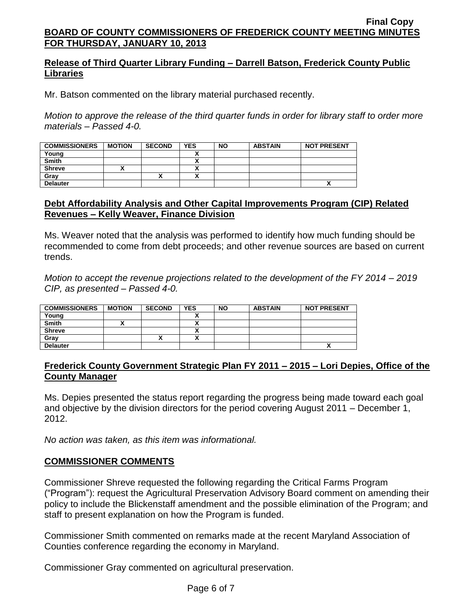## **Release of Third Quarter Library Funding – Darrell Batson, Frederick County Public Libraries**

Mr. Batson commented on the library material purchased recently.

*Motion to approve the release of the third quarter funds in order for library staff to order more materials – Passed 4-0.*

| <b>COMMISSIONERS</b> | <b>MOTION</b> | <b>SECOND</b> | <b>YES</b> | <b>NO</b> | <b>ABSTAIN</b> | <b>NOT PRESENT</b> |
|----------------------|---------------|---------------|------------|-----------|----------------|--------------------|
| Young                |               |               |            |           |                |                    |
| <b>Smith</b>         |               |               |            |           |                |                    |
| <b>Shreve</b>        |               |               |            |           |                |                    |
| Gray                 |               | Λ             |            |           |                |                    |
| <b>Delauter</b>      |               |               |            |           |                | ^                  |

### **Debt Affordability Analysis and Other Capital Improvements Program (CIP) Related Revenues – Kelly Weaver, Finance Division**

Ms. Weaver noted that the analysis was performed to identify how much funding should be recommended to come from debt proceeds; and other revenue sources are based on current trends.

*Motion to accept the revenue projections related to the development of the FY 2014 – 2019 CIP, as presented – Passed 4-0.*

| <b>COMMISSIONERS</b> | <b>MOTION</b> | <b>SECOND</b> | <b>YES</b> | <b>NO</b> | <b>ABSTAIN</b> | <b>NOT PRESENT</b> |
|----------------------|---------------|---------------|------------|-----------|----------------|--------------------|
| Young                |               |               |            |           |                |                    |
| <b>Smith</b>         |               |               |            |           |                |                    |
| <b>Shreve</b>        |               |               | ~          |           |                |                    |
| Gray                 |               | $\mathbf{v}$  | ~          |           |                |                    |
| <b>Delauter</b>      |               |               |            |           |                | ↗                  |

### **Frederick County Government Strategic Plan FY 2011 – 2015 – Lori Depies, Office of the County Manager**

Ms. Depies presented the status report regarding the progress being made toward each goal and objective by the division directors for the period covering August 2011 – December 1, 2012.

*No action was taken, as this item was informational.*

### **COMMISSIONER COMMENTS**

Commissioner Shreve requested the following regarding the Critical Farms Program ("Program"): request the Agricultural Preservation Advisory Board comment on amending their policy to include the Blickenstaff amendment and the possible elimination of the Program; and staff to present explanation on how the Program is funded.

Commissioner Smith commented on remarks made at the recent Maryland Association of Counties conference regarding the economy in Maryland.

Commissioner Gray commented on agricultural preservation.